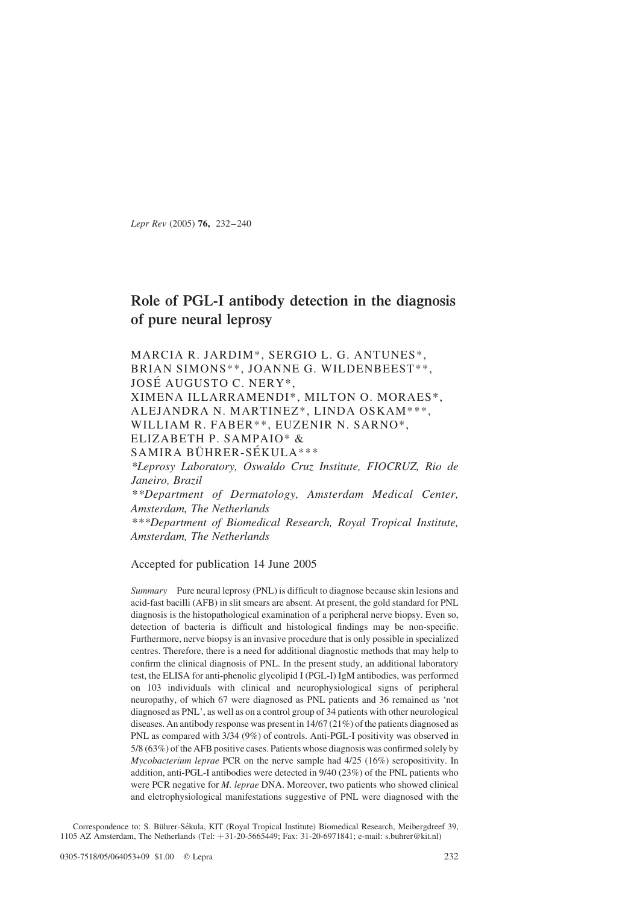Lepr Rev (2005) 76, 232–240

# Role of PGL-I antibody detection in the diagnosis of pure neural leprosy

MARCIA R. JARDIM\*, SERGIO L. G. ANTUNES\*, BRIAN SIMONS\*\*, JOANNE G. WILDENBEEST\*\*, JOSÉ AUGUSTO C. NERY\*, XIMENA ILLARRAMENDI\*, MILTON O. MORAES\*, ALEJANDRA N. MARTINEZ\*, LINDA OSKAM\*\*\*, WILLIAM R. FABER\*\*, EUZENIR N. SARNO\*, ELIZABETH P. SAMPAIO\* & SAMIRA BÜHRER-SÉKULA\*\*\*

\*Leprosy Laboratory, Oswaldo Cruz Institute, FIOCRUZ, Rio de Janeiro, Brazil \*\*Department of Dermatology, Amsterdam Medical Center, Amsterdam, The Netherlands

\*\*\*Department of Biomedical Research, Royal Tropical Institute, Amsterdam, The Netherlands

Accepted for publication 14 June 2005

Summary Pure neural leprosy (PNL) is difficult to diagnose because skin lesions and acid-fast bacilli (AFB) in slit smears are absent. At present, the gold standard for PNL diagnosis is the histopathological examination of a peripheral nerve biopsy. Even so, detection of bacteria is difficult and histological findings may be non-specific. Furthermore, nerve biopsy is an invasive procedure that is only possible in specialized centres. Therefore, there is a need for additional diagnostic methods that may help to confirm the clinical diagnosis of PNL. In the present study, an additional laboratory test, the ELISA for anti-phenolic glycolipid I (PGL-I) IgM antibodies, was performed on 103 individuals with clinical and neurophysiological signs of peripheral neuropathy, of which 67 were diagnosed as PNL patients and 36 remained as 'not diagnosed as PNL', as well as on a control group of 34 patients with other neurological diseases. An antibody response was present in 14/67 (21%) of the patients diagnosed as PNL as compared with 3/34 (9%) of controls. Anti-PGL-I positivity was observed in 5/8 (63%) of the AFB positive cases. Patients whose diagnosis was confirmed solely by Mycobacterium leprae PCR on the nerve sample had 4/25 (16%) seropositivity. In addition, anti-PGL-I antibodies were detected in 9/40 (23%) of the PNL patients who were PCR negative for *M. leprae* DNA. Moreover, two patients who showed clinical and eletrophysiological manifestations suggestive of PNL were diagnosed with the

Correspondence to: S. Bührer-Sékula, KIT (Royal Tropical Institute) Biomedical Research, Meibergdreef 39, 1105 AZ Amsterdam, The Netherlands (Tel: +31-20-5665449; Fax: 31-20-6971841; e-mail: s.buhrer@kit.nl)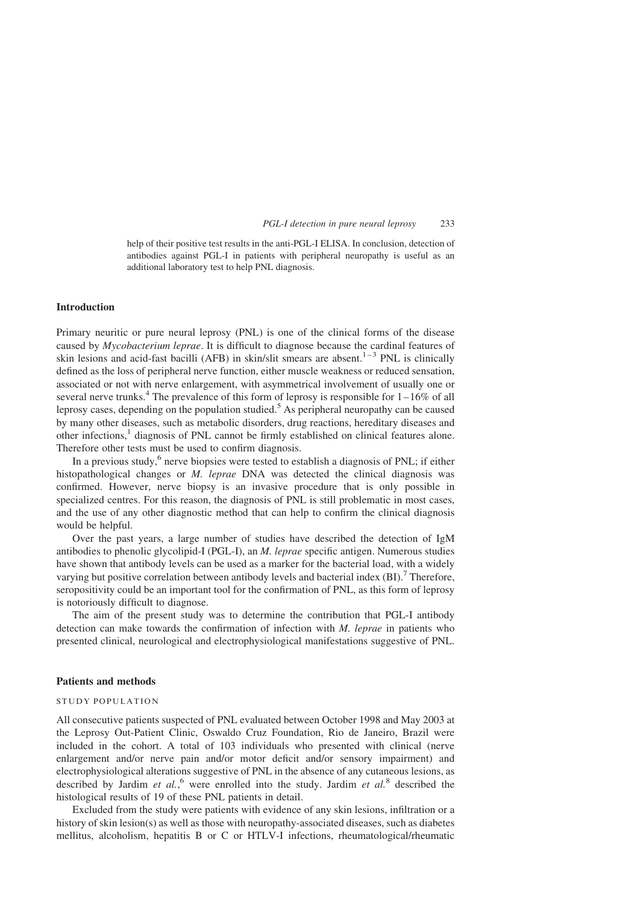help of their positive test results in the anti-PGL-I ELISA. In conclusion, detection of antibodies against PGL-I in patients with peripheral neuropathy is useful as an additional laboratory test to help PNL diagnosis.

### Introduction

Primary neuritic or pure neural leprosy (PNL) is one of the clinical forms of the disease caused by Mycobacterium leprae. It is difficult to diagnose because the cardinal features of skin lesions and acid-fast bacilli (AFB) in skin/slit smears are absent.<sup>1-3</sup> PNL is clinically defined as the loss of peripheral nerve function, either muscle weakness or reduced sensation, associated or not with nerve enlargement, with asymmetrical involvement of usually one or several nerve trunks.<sup>[4](#page-7-0)</sup> The prevalence of this form of leprosy is responsible for  $1-16\%$  of all leprosy cases, depending on the population studied.<sup>[5](#page-7-0)</sup> As peripheral neuropathy can be caused by many other diseases, such as metabolic disorders, drug reactions, hereditary diseases and other infections,<sup>[1](#page-7-0)</sup> diagnosis of PNL cannot be firmly established on clinical features alone. Therefore other tests must be used to confirm diagnosis.

In a previous study, $6$  nerve biopsies were tested to establish a diagnosis of PNL; if either histopathological changes or M. leprae DNA was detected the clinical diagnosis was confirmed. However, nerve biopsy is an invasive procedure that is only possible in specialized centres. For this reason, the diagnosis of PNL is still problematic in most cases, and the use of any other diagnostic method that can help to confirm the clinical diagnosis would be helpful.

Over the past years, a large number of studies have described the detection of IgM antibodies to phenolic glycolipid-I (PGL-I), an M. leprae specific antigen. Numerous studies have shown that antibody levels can be used as a marker for the bacterial load, with a widely varying but positive correlation between antibody levels and bacterial index  $(BI)$ .<sup>[7](#page-7-0)</sup> Therefore, seropositivity could be an important tool for the confirmation of PNL, as this form of leprosy is notoriously difficult to diagnose.

The aim of the present study was to determine the contribution that PGL-I antibody detection can make towards the confirmation of infection with M. leprae in patients who presented clinical, neurological and electrophysiological manifestations suggestive of PNL.

# Patients and methods

### STUDY POPULATION

All consecutive patients suspected of PNL evaluated between October 1998 and May 2003 at the Leprosy Out-Patient Clinic, Oswaldo Cruz Foundation, Rio de Janeiro, Brazil were included in the cohort. A total of 103 individuals who presented with clinical (nerve enlargement and/or nerve pain and/or motor deficit and/or sensory impairment) and electrophysiological alterations suggestive of PNL in the absence of any cutaneous lesions, as described by Jardim et  $al$ , were enrolled into the study. Jardim et  $al$ .<sup>[8](#page-7-0)</sup> described the histological results of 19 of these PNL patients in detail.

Excluded from the study were patients with evidence of any skin lesions, infiltration or a history of skin lesion(s) as well as those with neuropathy-associated diseases, such as diabetes mellitus, alcoholism, hepatitis B or C or HTLV-I infections, rheumatological/rheumatic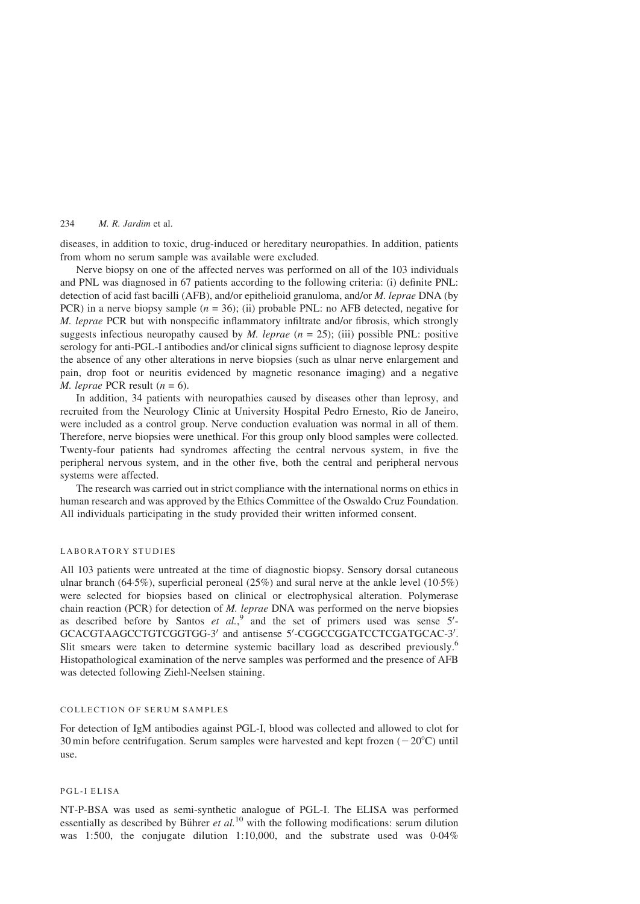diseases, in addition to toxic, drug-induced or hereditary neuropathies. In addition, patients from whom no serum sample was available were excluded.

Nerve biopsy on one of the affected nerves was performed on all of the 103 individuals and PNL was diagnosed in 67 patients according to the following criteria: (i) definite PNL: detection of acid fast bacilli (AFB), and/or epithelioid granuloma, and/or M. leprae DNA (by PCR) in a nerve biopsy sample  $(n = 36)$ ; (ii) probable PNL: no AFB detected, negative for M. leprae PCR but with nonspecific inflammatory infiltrate and/or fibrosis, which strongly suggests infectious neuropathy caused by *M. leprae*  $(n = 25)$ ; (iii) possible PNL: positive serology for anti-PGL-I antibodies and/or clinical signs sufficient to diagnose leprosy despite the absence of any other alterations in nerve biopsies (such as ulnar nerve enlargement and pain, drop foot or neuritis evidenced by magnetic resonance imaging) and a negative *M. leprae* PCR result  $(n = 6)$ .

In addition, 34 patients with neuropathies caused by diseases other than leprosy, and recruited from the Neurology Clinic at University Hospital Pedro Ernesto, Rio de Janeiro, were included as a control group. Nerve conduction evaluation was normal in all of them. Therefore, nerve biopsies were unethical. For this group only blood samples were collected. Twenty-four patients had syndromes affecting the central nervous system, in five the peripheral nervous system, and in the other five, both the central and peripheral nervous systems were affected.

The research was carried out in strict compliance with the international norms on ethics in human research and was approved by the Ethics Committee of the Oswaldo Cruz Foundation. All individuals participating in the study provided their written informed consent.

# LABORATORY STUDIES

All 103 patients were untreated at the time of diagnostic biopsy. Sensory dorsal cutaneous ulnar branch (64·5%), superficial peroneal (25%) and sural nerve at the ankle level (10·5%) were selected for biopsies based on clinical or electrophysical alteration. Polymerase chain reaction (PCR) for detection of M. leprae DNA was performed on the nerve biopsies as described before by Santos et  $al$ ,  $\int$  and the set of primers used was sense  $5'$ -GCACGTAAGCCTGTCGGTGG-3' and antisense 5'-CGGCCGGATCCTCGATGCAC-3'. Slit smears were taken to determine systemic bacillary load as described previously.<sup>[6](#page-7-0)</sup> Histopathological examination of the nerve samples was performed and the presence of AFB was detected following Ziehl-Neelsen staining.

### COLLECTION OF SERUM SAMPLES

For detection of IgM antibodies against PGL-I, blood was collected and allowed to clot for 30 min before centrifugation. Serum samples were harvested and kept frozen  $(-20^{\circ}C)$  until use.

### PGL-I ELISA

NT-P-BSA was used as semi-synthetic analogue of PGL-I. The ELISA was performed essentially as described by Bührer et  $al$ .<sup>[10](#page-7-0)</sup> with the following modifications: serum dilution was 1:500, the conjugate dilution 1:10,000, and the substrate used was 0·04%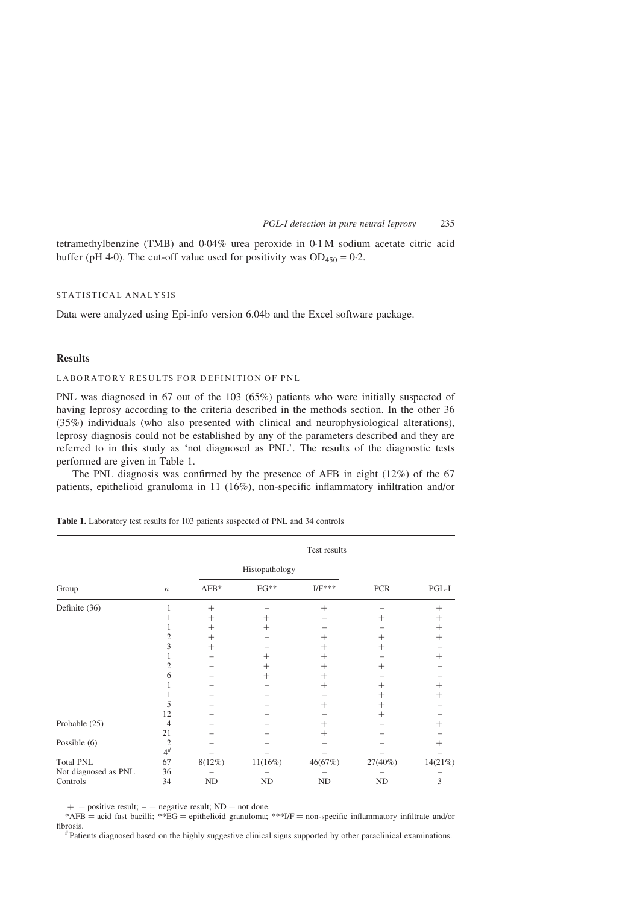<span id="page-3-0"></span>tetramethylbenzine (TMB) and 0·04% urea peroxide in 0·1 M sodium acetate citric acid buffer (pH 4·0). The cut-off value used for positivity was  $OD_{450} = 0.2$ .

### STATISTICAL ANALYSIS

Data were analyzed using Epi-info version 6.04b and the Excel software package.

### **Results**

# LABORATORY RESULTS FOR DEFINITION OF PNL

PNL was diagnosed in 67 out of the 103 (65%) patients who were initially suspected of having leprosy according to the criteria described in the methods section. In the other 36 (35%) individuals (who also presented with clinical and neurophysiological alterations), leprosy diagnosis could not be established by any of the parameters described and they are referred to in this study as 'not diagnosed as PNL'. The results of the diagnostic tests performed are given in Table 1.

The PNL diagnosis was confirmed by the presence of AFB in eight (12%) of the 67 patients, epithelioid granuloma in 11 (16%), non-specific inflammatory infiltration and/or

|  |  |  |  |  |  |  | <b>Table 1.</b> Laboratory test results for 103 patients suspected of PNL and 34 controls |
|--|--|--|--|--|--|--|-------------------------------------------------------------------------------------------|
|--|--|--|--|--|--|--|-------------------------------------------------------------------------------------------|

|                      |                   | Test results       |                    |                    |            |                    |
|----------------------|-------------------|--------------------|--------------------|--------------------|------------|--------------------|
|                      | $\boldsymbol{n}$  |                    | Histopathology     |                    |            |                    |
| Group                |                   | $AFB*$             | $EG**$             | $I/F***$           | <b>PCR</b> | PGL-I              |
| Definite (36)        |                   | $^{+}$             |                    | $^{+}$             |            | $^{+}$             |
|                      |                   | $^+$               | $^+$               |                    | $^+$       | $^+$               |
|                      |                   | $^+$               | ┿                  |                    |            | $^{+}$             |
|                      | 2                 | $^{+}$             |                    | ┿                  | $^+$       | $^{+}$             |
|                      | 3                 | $\hspace{0.1mm} +$ |                    | $^{+}$             | $^+$       |                    |
|                      |                   |                    | $^+$               | $^+$               |            | $^{+}$             |
|                      | 2                 |                    | $\hspace{0.1mm} +$ | $\hspace{0.1mm} +$ | $^+$       |                    |
|                      | 6                 |                    | $^+$               | $\hspace{0.1mm} +$ |            |                    |
|                      |                   |                    |                    | $^{+}$             | $^+$       | $^{+}$             |
|                      |                   |                    |                    |                    | $^+$       | $\hspace{0.1mm} +$ |
|                      | 5                 |                    |                    | $^+$               | $^+$       |                    |
|                      | 12                |                    |                    |                    | $^+$       |                    |
| Probable (25)        | 4                 |                    |                    | $^{+}$             |            | $\, + \,$          |
|                      | 21                |                    |                    | $^+$               |            |                    |
| Possible (6)         |                   |                    |                    |                    |            | $\, + \,$          |
|                      | $\frac{2}{4^{*}}$ |                    |                    |                    |            |                    |
| <b>Total PNL</b>     | 67                | 8(12%)             | 11(16%)            | 46(67%)            | $27(40\%)$ | 14(21%)            |
| Not diagnosed as PNL | 36                |                    |                    |                    |            |                    |
| Controls             | 34                | $\rm ND$           | ND                 | ND                 | ND         | 3                  |

 $+$  = positive result; – = negative result; ND = not done.

\*AFB = acid fast bacilli; \*\*EG = epithelioid granuloma; \*\*\*I/F = non-specific inflammatory infiltrate and/or fibrosis. # Patients diagnosed based on the highly suggestive clinical signs supported by other paraclinical examinations.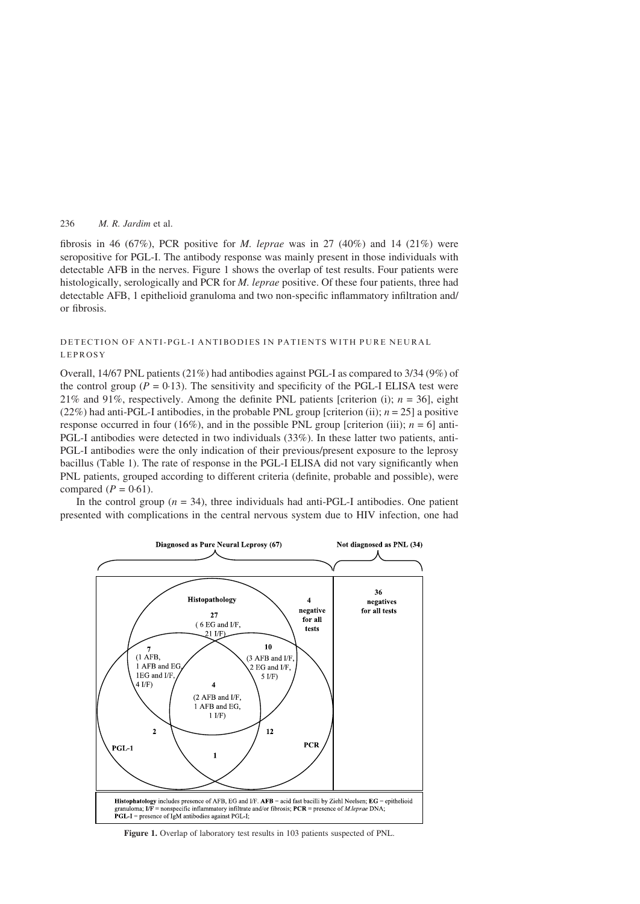fibrosis in 46 (67%), PCR positive for M. leprae was in 27 (40%) and 14 (21%) were seropositive for PGL-I. The antibody response was mainly present in those individuals with detectable AFB in the nerves. Figure 1 shows the overlap of test results. Four patients were histologically, serologically and PCR for M. leprae positive. Of these four patients, three had detectable AFB, 1 epithelioid granuloma and two non-specific inflammatory infiltration and/ or fibrosis.

# DETECTION OF ANTI-PGL-I ANTIBODIES IN PATIENTS WITH PURE NEURAL LEPROSY

Overall, 14/67 PNL patients (21%) had antibodies against PGL-I as compared to 3/34 (9%) of the control group ( $P = 0.13$ ). The sensitivity and specificity of the PGL-I ELISA test were 21% and 91%, respectively. Among the definite PNL patients [criterion (i);  $n = 36$ ], eight  $(22\%)$  had anti-PGL-I antibodies, in the probable PNL group [criterion (ii);  $n = 25$ ] a positive response occurred in four (16%), and in the possible PNL group [criterion (iii);  $n = 6$ ] anti-PGL-I antibodies were detected in two individuals (33%). In these latter two patients, anti-PGL-I antibodies were the only indication of their previous/present exposure to the leprosy bacillus [\(Table 1\)](#page-3-0). The rate of response in the PGL-I ELISA did not vary significantly when PNL patients, grouped according to different criteria (definite, probable and possible), were compared  $(P = 0.61)$ .

In the control group ( $n = 34$ ), three individuals had anti-PGL-I antibodies. One patient presented with complications in the central nervous system due to HIV infection, one had



Figure 1. Overlap of laboratory test results in 103 patients suspected of PNL.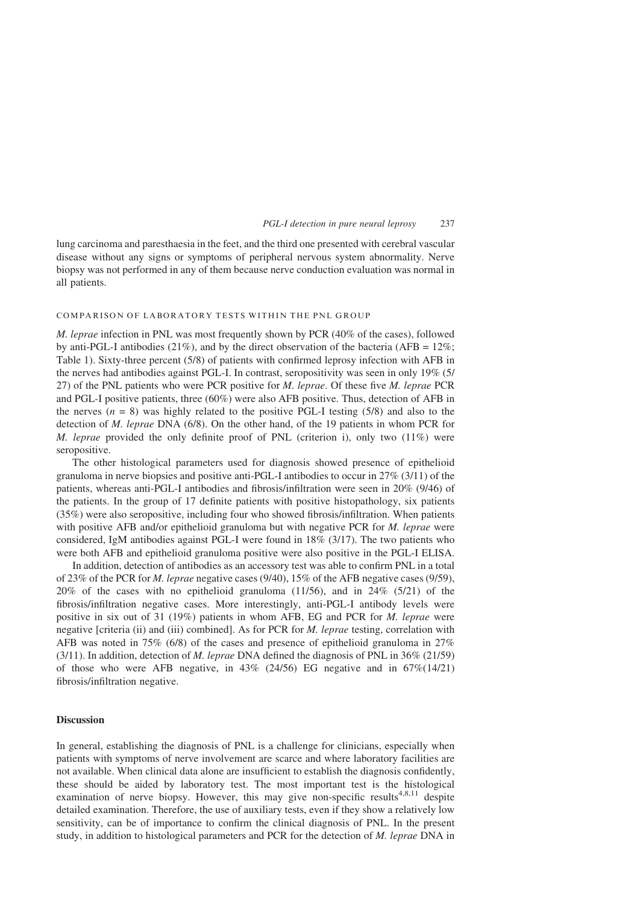lung carcinoma and paresthaesia in the feet, and the third one presented with cerebral vascular disease without any signs or symptoms of peripheral nervous system abnormality. Nerve biopsy was not performed in any of them because nerve conduction evaluation was normal in all patients.

# COMPARISON OF LABORATORY TESTS WITHIN THE PNL GROUP

M. leprae infection in PNL was most frequently shown by PCR (40% of the cases), followed by anti-PGL-I antibodies (21%), and by the direct observation of the bacteria (AFB =  $12\%$ ; [Table 1](#page-3-0)). Sixty-three percent (5/8) of patients with confirmed leprosy infection with AFB in the nerves had antibodies against PGL-I. In contrast, seropositivity was seen in only 19% (5/ 27) of the PNL patients who were PCR positive for M. leprae. Of these five M. leprae PCR and PGL-I positive patients, three (60%) were also AFB positive. Thus, detection of AFB in the nerves  $(n = 8)$  was highly related to the positive PGL-I testing (5/8) and also to the detection of M. leprae DNA (6/8). On the other hand, of the 19 patients in whom PCR for M. leprae provided the only definite proof of PNL (criterion i), only two  $(11\%)$  were seropositive.

The other histological parameters used for diagnosis showed presence of epithelioid granuloma in nerve biopsies and positive anti-PGL-I antibodies to occur in 27% (3/11) of the patients, whereas anti-PGL-I antibodies and fibrosis/infiltration were seen in 20% (9/46) of the patients. In the group of 17 definite patients with positive histopathology, six patients (35%) were also seropositive, including four who showed fibrosis/infiltration. When patients with positive AFB and/or epithelioid granuloma but with negative PCR for *M. leprae* were considered, IgM antibodies against PGL-I were found in 18% (3/17). The two patients who were both AFB and epithelioid granuloma positive were also positive in the PGL-I ELISA.

In addition, detection of antibodies as an accessory test was able to confirm PNL in a total of 23% of the PCR for M. leprae negative cases (9/40), 15% of the AFB negative cases (9/59), 20% of the cases with no epithelioid granuloma  $(11/56)$ , and in 24% (5/21) of the fibrosis/infiltration negative cases. More interestingly, anti-PGL-I antibody levels were positive in six out of 31 (19%) patients in whom AFB, EG and PCR for M. leprae were negative [criteria (ii) and (iii) combined]. As for PCR for M. leprae testing, correlation with AFB was noted in 75% (6/8) of the cases and presence of epithelioid granuloma in 27%  $(3/11)$ . In addition, detection of *M. leprae* DNA defined the diagnosis of PNL in 36% (21/59) of those who were AFB negative, in  $43\%$  (24/56) EG negative and in  $67\%$ (14/21) fibrosis/infiltration negative.

### **Discussion**

In general, establishing the diagnosis of PNL is a challenge for clinicians, especially when patients with symptoms of nerve involvement are scarce and where laboratory facilities are not available. When clinical data alone are insufficient to establish the diagnosis confidently, these should be aided by laboratory test. The most important test is the histological examination of nerve biopsy. However, this may give non-specific results<sup>[4,8,11](#page-7-0)</sup> despite detailed examination. Therefore, the use of auxiliary tests, even if they show a relatively low sensitivity, can be of importance to confirm the clinical diagnosis of PNL. In the present study, in addition to histological parameters and PCR for the detection of M. leprae DNA in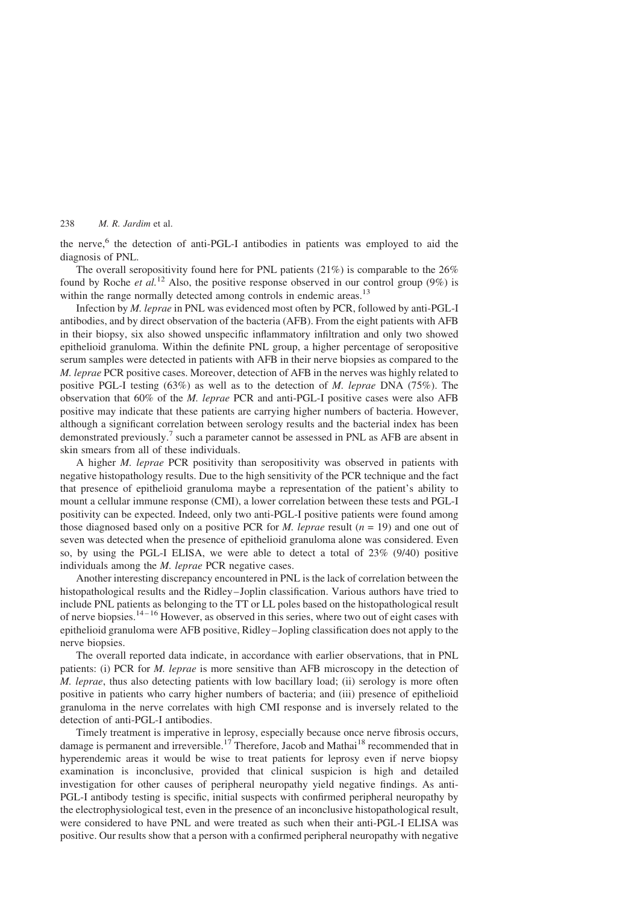the nerve, $6$  the detection of anti-PGL-I antibodies in patients was employed to aid the diagnosis of PNL.

The overall seropositivity found here for PNL patients (21%) is comparable to the 26% found by Roche *et al.*<sup>[12](#page-7-0)</sup> Also, the positive response observed in our control group (9%) is within the range normally detected among controls in endemic areas.<sup>[13](#page-7-0)</sup>

Infection by M. leprae in PNL was evidenced most often by PCR, followed by anti-PGL-I antibodies, and by direct observation of the bacteria (AFB). From the eight patients with AFB in their biopsy, six also showed unspecific inflammatory infiltration and only two showed epithelioid granuloma. Within the definite PNL group, a higher percentage of seropositive serum samples were detected in patients with AFB in their nerve biopsies as compared to the M. leprae PCR positive cases. Moreover, detection of AFB in the nerves was highly related to positive PGL-I testing  $(63\%)$  as well as to the detection of M. leprae DNA (75%). The observation that 60% of the M. leprae PCR and anti-PGL-I positive cases were also AFB positive may indicate that these patients are carrying higher numbers of bacteria. However, although a significant correlation between serology results and the bacterial index has been demonstrated previously.[7](#page-7-0) such a parameter cannot be assessed in PNL as AFB are absent in skin smears from all of these individuals.

A higher M. leprae PCR positivity than seropositivity was observed in patients with negative histopathology results. Due to the high sensitivity of the PCR technique and the fact that presence of epithelioid granuloma maybe a representation of the patient's ability to mount a cellular immune response (CMI), a lower correlation between these tests and PGL-I positivity can be expected. Indeed, only two anti-PGL-I positive patients were found among those diagnosed based only on a positive PCR for *M. leprae* result ( $n = 19$ ) and one out of seven was detected when the presence of epithelioid granuloma alone was considered. Even so, by using the PGL-I ELISA, we were able to detect a total of 23% (9/40) positive individuals among the *M. leprae* PCR negative cases.

Another interesting discrepancy encountered in PNL is the lack of correlation between the histopathological results and the Ridley–Joplin classification. Various authors have tried to include PNL patients as belonging to the TT or LL poles based on the histopathological result of nerve biopsies.<sup>14-16</sup> However, as observed in this series, where two out of eight cases with epithelioid granuloma were AFB positive, Ridley–Jopling classification does not apply to the nerve biopsies.

The overall reported data indicate, in accordance with earlier observations, that in PNL patients: (i) PCR for M. leprae is more sensitive than AFB microscopy in the detection of M. leprae, thus also detecting patients with low bacillary load; (ii) serology is more often positive in patients who carry higher numbers of bacteria; and (iii) presence of epithelioid granuloma in the nerve correlates with high CMI response and is inversely related to the detection of anti-PGL-I antibodies.

Timely treatment is imperative in leprosy, especially because once nerve fibrosis occurs, damage is permanent and irreversible.<sup>[17](#page-8-0)</sup> Therefore, Jacob and Mathai<sup>[18](#page-8-0)</sup> recommended that in hyperendemic areas it would be wise to treat patients for leprosy even if nerve biopsy examination is inconclusive, provided that clinical suspicion is high and detailed investigation for other causes of peripheral neuropathy yield negative findings. As anti-PGL-I antibody testing is specific, initial suspects with confirmed peripheral neuropathy by the electrophysiological test, even in the presence of an inconclusive histopathological result, were considered to have PNL and were treated as such when their anti-PGL-I ELISA was positive. Our results show that a person with a confirmed peripheral neuropathy with negative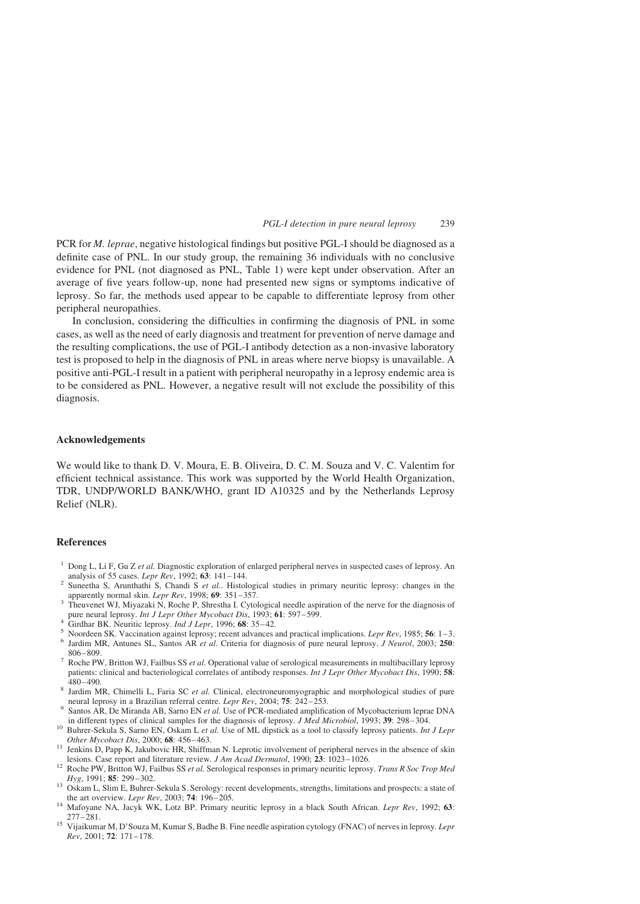<span id="page-7-0"></span>PCR for *M. leprae*, negative histological findings but positive PGL-I should be diagnosed as a definite case of PNL. In our study group, the remaining 36 individuals with no conclusive evidence for PNL (not diagnosed as PNL, [Table 1](#page-3-0)) were kept under observation. After an average of five years follow-up, none had presented new signs or symptoms indicative of leprosy. So far, the methods used appear to be capable to differentiate leprosy from other peripheral neuropathies.

In conclusion, considering the difficulties in confirming the diagnosis of PNL in some cases, as well as the need of early diagnosis and treatment for prevention of nerve damage and the resulting complications, the use of PGL-I antibody detection as a non-invasive laboratory test is proposed to help in the diagnosis of PNL in areas where nerve biopsy is unavailable. A positive anti-PGL-I result in a patient with peripheral neuropathy in a leprosy endemic area is to be considered as PNL. However, a negative result will not exclude the possibility of this diagnosis.

### Acknowledgements

We would like to thank D. V. Moura, E. B. Oliveira, D. C. M. Souza and V. C. Valentim for efficient technical assistance. This work was supported by the World Health Organization, TDR, UNDP/WORLD BANK/WHO, grant ID A10325 and by the Netherlands Leprosy Relief (NLR).

### References

- <sup>1</sup> Dong L, Li F, Gu Z et al. Diagnostic exploration of enlarged peripheral nerves in suspected cases of leprosy. An analysis of 55 cases. Lepr Rev, 1992; **63**: 141–144.
- <sup>2</sup> Suneetha S, Arunthathi S, Chandi S *et al.*. Histological studies in primary neuritic leprosy: changes in the apparently normal skin. *Lepr Rev*, 1998; **69**: 351–357.
- <sup>3</sup> Theuvenet WJ, Miyazaki N, Roche P, Shrestha I. Cytological needle aspiration of the nerve for the diagnosis of pure neural leprosy. *Int J Lepr Other Mycobact Dis*, 1993; **61**: 597–599.
- 
- 
- For twain tepposy. *Internal Lepr*, 1996; 68: 35–42.<br>
S Noordeen SK. Vaccination against leprosy; recent advances and practical implications. *Lepr Rev*, 1985; 56: 1–3.<br>
S Noordeen SK. Vaccination against leprosy; recent a
- 806–809.<br>7 Roche PW, Britton WJ, Failbus SS *et al.* Operational value of serological measurements in multibacillary leprosy patients: clinical and bacteriological correlates of antibody responses. *Int J Lepr Other Mycobact Dis*, 1990; 58:<br> $480-490$
- <sup>8</sup> Jardim MR, Chimelli L, Faria SC *et al.* Clinical, electroneuromyographic and morphological studies of pure neural leprosy in a Brazilian referral centre. *Lepr Rev*, 2004; **75**: 242–253.
- Santos AR, De Miranda AB, Sarno EN et al. Use of PCR-mediated amplification of Mycobacterium leprae DNA in different types of clinical samples for the diagnosis of leprosy. *J Med Microbiol*, 1993; 39: 298–304.
- <sup>10</sup> Buhrer-Sekula S, Sarno EN, Oskam L et al. Use of ML dipstick as a tool to classify leprosy patients. Int J Lepr
- Other Mycobact Dis, 2000; 68: 456–463.<br><sup>11</sup> Jenkins D, Papp K, Jakubovic HR, Shiffman N. Leprotic involvement of peripheral nerves in the absence of skin lesions. Case report and literature review. *J Am Acad Dermatol*, 1
- 12 Roche PW, Britton WJ, Failbus SS *et al.* Serological responses in primary neuritic leprosy. *Trans R Soc Trop Med Hyg*, 1991; 85: 299–302.
- 13 Oskam L, Slim E, Buhrer-Sekula S. Serology: recent developments, strengths, limitations and prospects: a state of the art overview. Lepr Rev, 2003; 74: 196–205.
- the art overview. Lept art over 1964; The art over the art over the art over the art over the art of the art of the art of the art of the art of the art of the art of the art of the art of the art of the art of the art of
- <sup>15</sup> Vijaikumar M, D'Souza M, Kumar S, Badhe B. Fine needle aspiration cytology (FNAC) of nerves in leprosy. Lepr Rev, 2001; 72: 171–178.